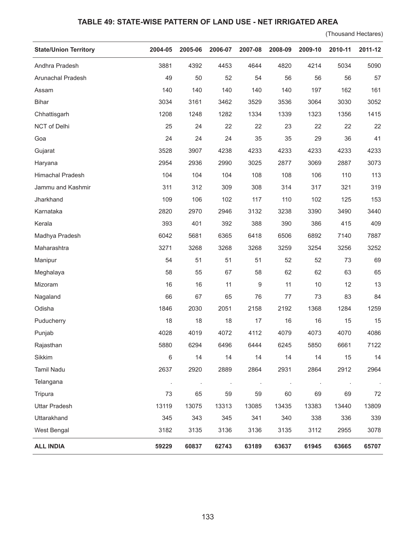## **TABLE 49: STATE-WISE PATTERN OF LAND USE - NET IRRIGATED AREA**

(Thousand Hectares)

| <b>State/Union Territory</b> | 2004-05 | 2005-06 | 2006-07 | 2007-08 | 2008-09 | 2009-10 | 2010-11 | 2011-12 |
|------------------------------|---------|---------|---------|---------|---------|---------|---------|---------|
| Andhra Pradesh               | 3881    | 4392    | 4453    | 4644    | 4820    | 4214    | 5034    | 5090    |
| Arunachal Pradesh            | 49      | 50      | 52      | 54      | 56      | 56      | 56      | 57      |
| Assam                        | 140     | 140     | 140     | 140     | 140     | 197     | 162     | 161     |
| <b>Bihar</b>                 | 3034    | 3161    | 3462    | 3529    | 3536    | 3064    | 3030    | 3052    |
| Chhattisgarh                 | 1208    | 1248    | 1282    | 1334    | 1339    | 1323    | 1356    | 1415    |
| <b>NCT of Delhi</b>          | 25      | 24      | 22      | 22      | 23      | 22      | 22      | 22      |
| Goa                          | 24      | 24      | 24      | 35      | 35      | 29      | 36      | 41      |
| Gujarat                      | 3528    | 3907    | 4238    | 4233    | 4233    | 4233    | 4233    | 4233    |
| Haryana                      | 2954    | 2936    | 2990    | 3025    | 2877    | 3069    | 2887    | 3073    |
| <b>Himachal Pradesh</b>      | 104     | 104     | 104     | 108     | 108     | 106     | 110     | 113     |
| Jammu and Kashmir            | 311     | 312     | 309     | 308     | 314     | 317     | 321     | 319     |
| Jharkhand                    | 109     | 106     | 102     | 117     | 110     | 102     | 125     | 153     |
| Karnataka                    | 2820    | 2970    | 2946    | 3132    | 3238    | 3390    | 3490    | 3440    |
| Kerala                       | 393     | 401     | 392     | 388     | 390     | 386     | 415     | 409     |
| Madhya Pradesh               | 6042    | 5681    | 6365    | 6418    | 6506    | 6892    | 7140    | 7887    |
| Maharashtra                  | 3271    | 3268    | 3268    | 3268    | 3259    | 3254    | 3256    | 3252    |
| Manipur                      | 54      | 51      | 51      | 51      | 52      | 52      | 73      | 69      |
| Meghalaya                    | 58      | 55      | 67      | 58      | 62      | 62      | 63      | 65      |
| Mizoram                      | 16      | 16      | 11      | 9       | 11      | 10      | 12      | 13      |
| Nagaland                     | 66      | 67      | 65      | 76      | 77      | 73      | 83      | 84      |
| Odisha                       | 1846    | 2030    | 2051    | 2158    | 2192    | 1368    | 1284    | 1259    |
| Puducherry                   | 18      | 18      | 18      | 17      | 16      | 16      | 15      | 15      |
| Punjab                       | 4028    | 4019    | 4072    | 4112    | 4079    | 4073    | 4070    | 4086    |
| Rajasthan                    | 5880    | 6294    | 6496    | 6444    | 6245    | 5850    | 6661    | 7122    |
| Sikkim                       | 6       | 14      | 14      | 14      | 14      | 14      | 15      | 14      |
| Tamil Nadu                   | 2637    | 2920    | 2889    | 2864    | 2931    | 2864    | 2912    | 2964    |
| Telangana                    | $\cdot$ |         | ×       |         |         |         |         |         |
| Tripura                      | 73      | 65      | 59      | 59      | 60      | 69      | 69      | 72      |
| <b>Uttar Pradesh</b>         | 13119   | 13075   | 13313   | 13085   | 13435   | 13383   | 13440   | 13809   |
| Uttarakhand                  | 345     | 343     | 345     | 341     | 340     | 338     | 336     | 339     |
| West Bengal                  | 3182    | 3135    | 3136    | 3136    | 3135    | 3112    | 2955    | 3078    |
| <b>ALL INDIA</b>             | 59229   | 60837   | 62743   | 63189   | 63637   | 61945   | 63665   | 65707   |